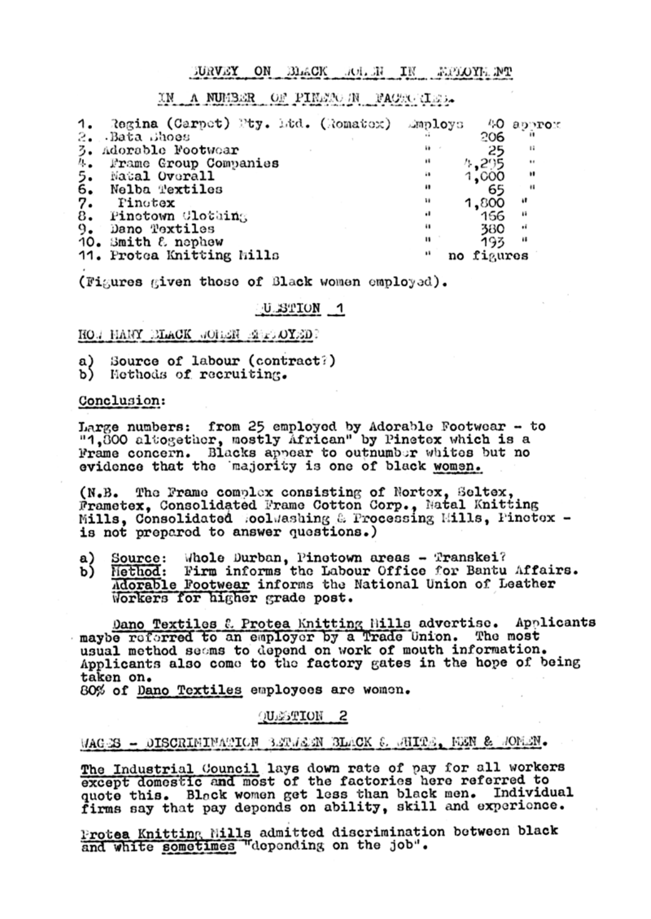#### JURVEY ON BLACK ROLEN IN MEDIOYE.NT

# IN A NUMBER OF PINETO-IN FACTO-CLED.

| 1.                        | Regina (Carpet) Pty. Ltd. (Romatex) | smploys. | 40 approx         |  |
|---------------------------|-------------------------------------|----------|-------------------|--|
| 2.                        | -Bata Bhoes                         |          | 206               |  |
| 3.                        | Adorable Footwear                   | i) -     | 44<br>25          |  |
| 4.                        | Frame Group Companies               |          | 4.295<br>$\cdots$ |  |
| န်:                       | Natal Overall                       | 48       | .,<br>1,000       |  |
|                           | Nelba Textiles                      |          | 11<br>65          |  |
| $\overline{\mathbf{a}}$ : | Pinotex                             | и        | 1,800<br>- 11     |  |
|                           | Pinetown Clothing                   | .,       | 166<br>- 19       |  |
| 9.                        | Dano Textiles                       |          | 380<br>÷          |  |
|                           | 10. Smith & nephew                  | 11       | 193<br>88         |  |
|                           | 11. Protea Knitting Mills           | <br>no   | figures           |  |

(Figures given those of Black women employed).

### U.STION 1

HOW HANY BLACK WORLER ENDOYED?

- a) Source of labour (contract?)
- b) Methods of recruiting.

#### Conclusion:

Large numbers: from 25 employed by Adorable Footwear - to "1,800 altogether, mostly African" by Pinetex which is a Frame concern. Blacks appear to outnumber whites but no evidence that the majority is one of black women.

The Frame complex consisting of Nortex, Seltex,  $(N.B.$ Frametex, Consolidated Frame Cotton Corp., Natal Knitting Mills, Consolidated RoolWashing & Processing Mills, Pinetex is not prepared to answer questions.)

- Source: Whole Durban, Pinetown areas Transkei? a) .
- Method: Firm informs the Labour Office for Bantu Affairs. b) Adorable Footwear informs the National Union of Leather Workers for higher grade post.

Dano Textiles & Protea Knitting Hills advertise. Applicants maybe referred to an employer by a Trade Union. The most usual method seems to depend on work of mouth information. Applicants also come to the factory gates in the hope of being taken on.

80% of Dano Textiles employees are women.

# QUESTION 2



The Industrial Council lays down rate of pay for all workers except domestic and most of the factories here referred to quote this. Black women get less than black men. Individual firms say that pay depends on ability, skill and experience.

Protea Knitting Mills admitted discrimination between black and white sometimes "depending on the job".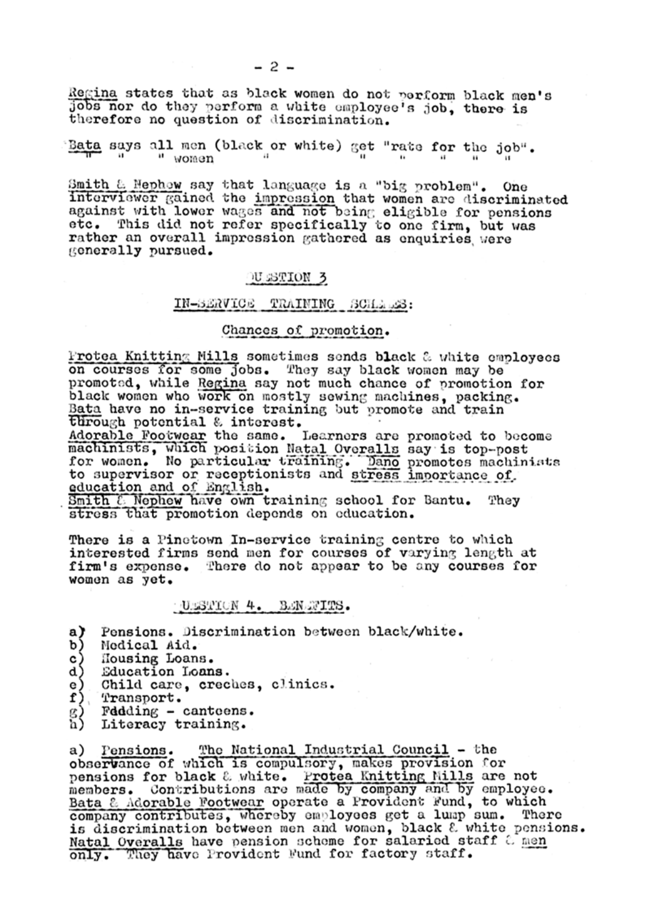$-2-$ 

Regina states that as black women do not perform black men's jobs nor do they perform a white employee's job, there is therefore no question of discrimination.

Bata says all men (black or white) get "rate for the job". " women

Smith & Nephow say that language is a "big problem". One interviewer gained the impression that women are discriminated against with lower wages and not being eligible for pensions etc. This did not refer specifically to one firm, but was rather an overall impression gathered as enquiries were generally pursued.

# JU STION 3

## IN-SERVICE TRAINING SCHARS:

# Chances of promotion.

Protea Knitting Mills sometimes sends black & white employees on courses for some jobs. They say black women may be promoted, while Regina say not much chance of promotion for black women who work on mostly sewing machines, packing. Bata have no in-service training but promote and train through potential & interest.

Adorable Footwear the same. Learners are promoted to become machinists, which position Natal Overalls say is top-post for women. No particular training. Dano promotes machinists to supervisor or receptionists and stress importance of education and of English.

Smith  $\ell$  Nephew have own training school for Bantu. They stress that promotion depends on education.

There is a Pinetown In-service training centre to which interested firms send men for courses of varying length at firm's expense. There do not appear to be any courses for women as yet.

### ULSTION 4. BENETTS.

- Pensions. Discrimination between black/white. a)
- Medical Aid. b)
- Housing Loans.
- $\begin{pmatrix} 1 \\ 2 \\ 3 \end{pmatrix}$ Education Loans.
- Child care, creches, clinics.
- f) Transport.
- g)<br>h) Fddding - canteens.
- Literacy training.

The National Industrial Council - the a) Pensions. observance of which is compulsory, makes provision for pensions for black & white. Protea Knitting Mills are not members. Contributions are made by company and by employee. Bata & Adorable Footwear operate a Provident Fund, to which company contributes, whereby employees get a lump sum. There is discrimination between men and women, black & white pensions. Natal Overalls have pension scheme for salaried staff & men only. They have Provident Fund for factory staff.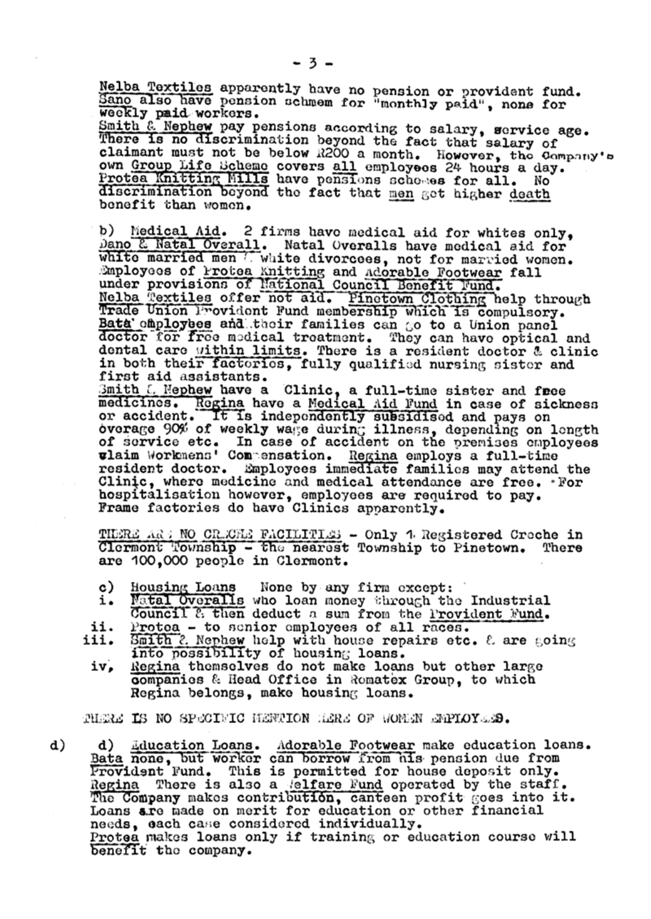Nelba Textiles apparently have no pension or provident fund. Sano also have pension schmem for "monthly paid", none for weekly paid workers.

Smith & Nephew pay pensions according to salary, service age. There is no discrimination beyond the fact that salary of claimant must not be below R200 a month. However, the Company's own Group Life Scheme covers all employees 24 hours a day. Protea Knitting Mills have pensions schemes for all. NO discrimination beyond the fact that men get higher death benefit than women.

Medical Aid. 2 firms have medical aid for whites only, b) Dano & Natal Overall. Natal Overalls have medical aid for white married men U white divorcees, not for married women. Employees of Protea Knitting and Adorable Footwear fall under provisions of National Council Benefit Fund. Nelba Textiles offer not aid. Pinetown Clothing help through Trade Union Provident Fund membership which is compulsory. Bata cmployees and their families can go to a Union panel doctor for free medical treatment. They can have optical and dental care within limits. There is a resident doctor & clinic in both their factories, fully qualified nursing sister and first aid assistants.

Bmith L. Mephew have a Clinic, a full-time sister and free medicines. Regina have a Medical Aid Fund in case of sickness or accident. It is independently subsidised and pays on overage 90% of weekly wage during illness, depending on length of service etc. In case of accident on the premises employees wlaim Workmens' Compensation. Regina employs a full-time resident doctor. Employees immediate families may attend the Clinic, where medicine and medical attendance are free. For hospitalisation however, employees are required to pay. Frame factories do have Clinics apparently.

THERE AR : NO CRECHE FACILITIES - Only 1 Registered Creche in Clermont Township - the nearest Township to Pinetown. There are 100,000 people in Clermont.

- c) Housing Loans None by any firm except:
- Natal Overalls who loan money through the Industrial i. Council & then deduct a sum from the Provident Fund.
- ii. Protoa - to senior employees of all races.
- Smith 2. Nephew help with house repairs etc.  $\ell$  are going iii. into possibility of housing loans.
	- iv, Regina themselves do not make loans but other large companies & Head Office in Romatex Group, to which Regina belongs, make housing loans.

THERE IS NO SPECIFIC HENTION HERE OF WOMEN EMPLOYEES.

d)

Education Loans. Adorable Footwear make education loans. d) Bata none, but worker can borrow from his pension due from Provident Fund. This is permitted for house deposit only. There is also a Melfare Fund operated by the staff. Regina The Company makes contribution, canteen profit goes into it. Loans are made on merit for education or other financial needs, each case considered individually. Protea makes loans only if training or education course will benefit the company.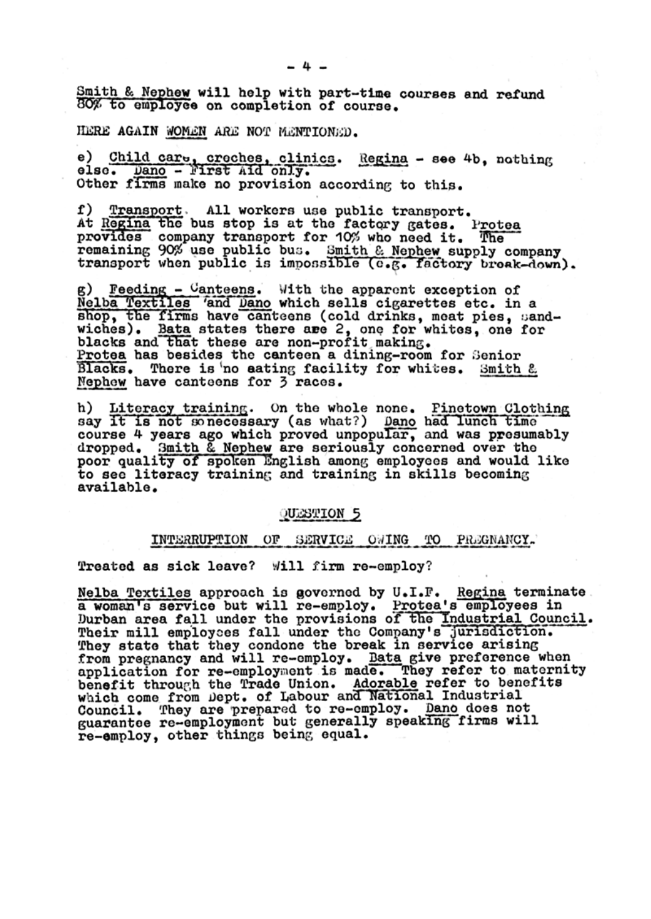Smith & Nephew will help with part-time courses and refund 80% to employee on completion of course.

#### HERE AGAIN WOMEN ARE NOT MENTIONED.

e) Child care, creches, clinics. Regina - see 4b, nothing else. Dano - First Aid only. Other firms make no provision according to this.

f) Transport. All workers use public transport. At Regina the bus stop is at the factory gates. Protea provides company transport for 10% who need it. The remaining 90% use public bus. Smith & Nephew supply company transport when public is impossible (e.g. factory broak-down).

g) Feeding  $-$  Canteens. With the apparent exception of Nelba Textiles 'and Dano which sells cigarettes etc. in a shop, the firms have canteens (cold drinks, meat pies, sandwiches). Bata states there are 2, one for whites, one for blacks and that these are non-profit making. Protea has besides the canteen a dining-room for Senior Blacks. There is 'no aating facility for whites. Smith & Nephew have canteens for 3 races.

h) Literacy training. On the whole none. Pinetown Clothing say it is not sonecessary (as what?) Dano had lunch time course 4 years ago which proved unpopular, and was presumably dropped. Smith & Nephew are seriously concerned over the poor quality of spoken English among employees and would like to see literacy training and training in skills becoming available.

### QUESTION 5

#### INTERRUPTION OF SERVICE OWING TO PREGNANCY.

Treated as sick leave? Will firm re-employ?

Nelba Textiles approach is governed by U.I.F. Regina terminate. a woman's service but will re-employ. Protea's employees in Durban area fall under the provisions of the Industrial Council. Their mill employees fall under the Company's jurisdiction. They state that they condone the break in service arising from pregnancy and will re-employ. Bata give preference when application for re-employment is made. They refer to maternity benefit through the Trade Union. Adorable refer to benefits which come from Dept. of Labour and National Industrial Council. They are prepared to re-employ. Dano does not guarantee re-employment but generally speaking firms will

#### re-employ, other things being equal.